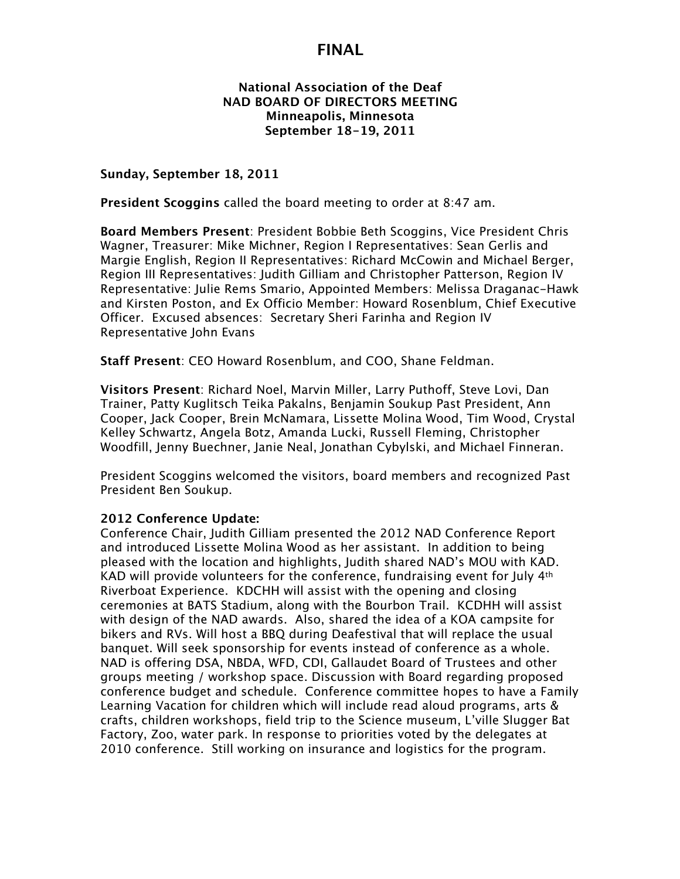### **National Association of the Deaf NAD BOARD OF DIRECTORS MEETING Minneapolis, Minnesota September 18-19, 2011**

**Sunday, September 18, 2011**

**President Scoggins** called the board meeting to order at 8:47 am.

**Board Members Present**: President Bobbie Beth Scoggins, Vice President Chris Wagner, Treasurer: Mike Michner, Region I Representatives: Sean Gerlis and Margie English, Region II Representatives: Richard McCowin and Michael Berger, Region III Representatives: Judith Gilliam and Christopher Patterson, Region IV Representative: Julie Rems Smario, Appointed Members: Melissa Draganac-Hawk and Kirsten Poston, and Ex Officio Member: Howard Rosenblum, Chief Executive Officer. Excused absences: Secretary Sheri Farinha and Region IV Representative John Evans

**Staff Present**: CEO Howard Rosenblum, and COO, Shane Feldman.

**Visitors Present**: Richard Noel, Marvin Miller, Larry Puthoff, Steve Lovi, Dan Trainer, Patty Kuglitsch Teika Pakalns, Benjamin Soukup Past President, Ann Cooper, Jack Cooper, Brein McNamara, Lissette Molina Wood, Tim Wood, Crystal Kelley Schwartz, Angela Botz, Amanda Lucki, Russell Fleming, Christopher Woodfill, Jenny Buechner, Janie Neal, Jonathan Cybylski, and Michael Finneran.

President Scoggins welcomed the visitors, board members and recognized Past President Ben Soukup.

#### **2012 Conference Update:**

Conference Chair, Judith Gilliam presented the 2012 NAD Conference Report and introduced Lissette Molina Wood as her assistant. In addition to being pleased with the location and highlights, Judith shared NAD's MOU with KAD. KAD will provide volunteers for the conference, fundraising event for July  $4<sup>th</sup>$ Riverboat Experience. KDCHH will assist with the opening and closing ceremonies at BATS Stadium, along with the Bourbon Trail. KCDHH will assist with design of the NAD awards. Also, shared the idea of a KOA campsite for bikers and RVs. Will host a BBQ during Deafestival that will replace the usual banquet. Will seek sponsorship for events instead of conference as a whole. NAD is offering DSA, NBDA, WFD, CDI, Gallaudet Board of Trustees and other groups meeting / workshop space. Discussion with Board regarding proposed conference budget and schedule. Conference committee hopes to have a Family Learning Vacation for children which will include read aloud programs, arts & crafts, children workshops, field trip to the Science museum, L'ville Slugger Bat Factory, Zoo, water park. In response to priorities voted by the delegates at 2010 conference. Still working on insurance and logistics for the program.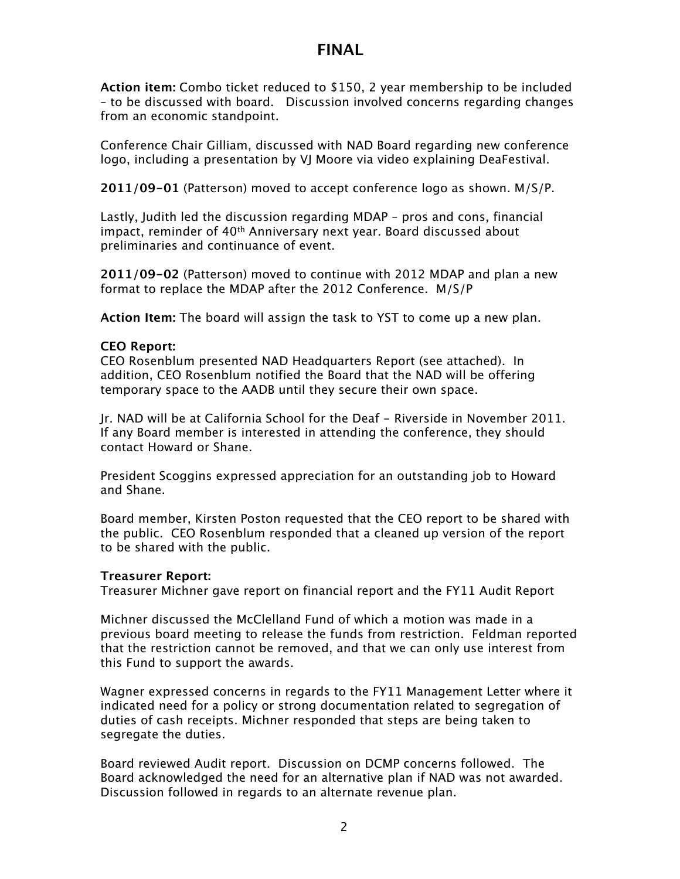**Action item:** Combo ticket reduced to \$150, 2 year membership to be included – to be discussed with board. Discussion involved concerns regarding changes from an economic standpoint.

Conference Chair Gilliam, discussed with NAD Board regarding new conference logo, including a presentation by VJ Moore via video explaining DeaFestival.

**2011/09-01** (Patterson) moved to accept conference logo as shown. M/S/P.

Lastly, Judith led the discussion regarding MDAP – pros and cons, financial impact, reminder of 40<sup>th</sup> Anniversary next year. Board discussed about preliminaries and continuance of event.

**2011/09-02** (Patterson) moved to continue with 2012 MDAP and plan a new format to replace the MDAP after the 2012 Conference. M/S/P

**Action Item:** The board will assign the task to YST to come up a new plan.

### **CEO Report:**

CEO Rosenblum presented NAD Headquarters Report (see attached). In addition, CEO Rosenblum notified the Board that the NAD will be offering temporary space to the AADB until they secure their own space.

Jr. NAD will be at California School for the Deaf - Riverside in November 2011. If any Board member is interested in attending the conference, they should contact Howard or Shane.

President Scoggins expressed appreciation for an outstanding job to Howard and Shane.

Board member, Kirsten Poston requested that the CEO report to be shared with the public. CEO Rosenblum responded that a cleaned up version of the report to be shared with the public.

#### **Treasurer Report:**

Treasurer Michner gave report on financial report and the FY11 Audit Report

Michner discussed the McClelland Fund of which a motion was made in a previous board meeting to release the funds from restriction. Feldman reported that the restriction cannot be removed, and that we can only use interest from this Fund to support the awards.

Wagner expressed concerns in regards to the FY11 Management Letter where it indicated need for a policy or strong documentation related to segregation of duties of cash receipts. Michner responded that steps are being taken to segregate the duties.

Board reviewed Audit report. Discussion on DCMP concerns followed. The Board acknowledged the need for an alternative plan if NAD was not awarded. Discussion followed in regards to an alternate revenue plan.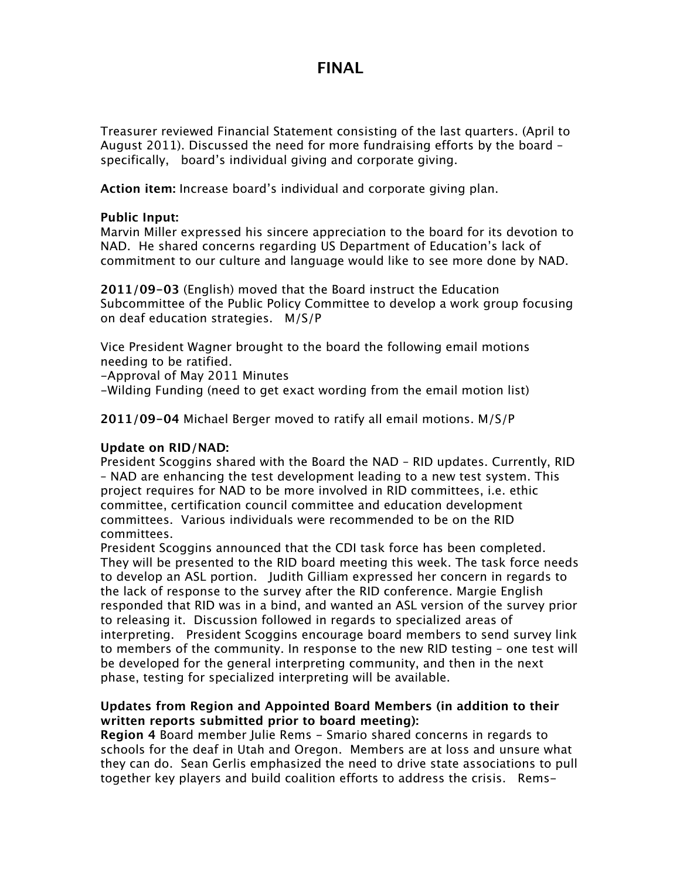Treasurer reviewed Financial Statement consisting of the last quarters. (April to August 2011). Discussed the need for more fundraising efforts by the board – specifically, board's individual giving and corporate giving.

**Action item:** Increase board's individual and corporate giving plan.

### **Public Input:**

Marvin Miller expressed his sincere appreciation to the board for its devotion to NAD. He shared concerns regarding US Department of Education's lack of commitment to our culture and language would like to see more done by NAD.

**2011/09-03** (English) moved that the Board instruct the Education Subcommittee of the Public Policy Committee to develop a work group focusing on deaf education strategies. M/S/P

Vice President Wagner brought to the board the following email motions needing to be ratified.

-Approval of May 2011 Minutes

-Wilding Funding (need to get exact wording from the email motion list)

**2011/09-04** Michael Berger moved to ratify all email motions. M/S/P

### **Update on RID/NAD:**

President Scoggins shared with the Board the NAD – RID updates. Currently, RID – NAD are enhancing the test development leading to a new test system. This project requires for NAD to be more involved in RID committees, i.e. ethic committee, certification council committee and education development committees. Various individuals were recommended to be on the RID committees.

President Scoggins announced that the CDI task force has been completed. They will be presented to the RID board meeting this week. The task force needs to develop an ASL portion. Judith Gilliam expressed her concern in regards to the lack of response to the survey after the RID conference. Margie English responded that RID was in a bind, and wanted an ASL version of the survey prior to releasing it. Discussion followed in regards to specialized areas of interpreting. President Scoggins encourage board members to send survey link to members of the community. In response to the new RID testing – one test will be developed for the general interpreting community, and then in the next phase, testing for specialized interpreting will be available.

### **Updates from Region and Appointed Board Members (in addition to their written reports submitted prior to board meeting):**

**Region 4** Board member Julie Rems - Smario shared concerns in regards to schools for the deaf in Utah and Oregon. Members are at loss and unsure what they can do. Sean Gerlis emphasized the need to drive state associations to pull together key players and build coalition efforts to address the crisis. Rems-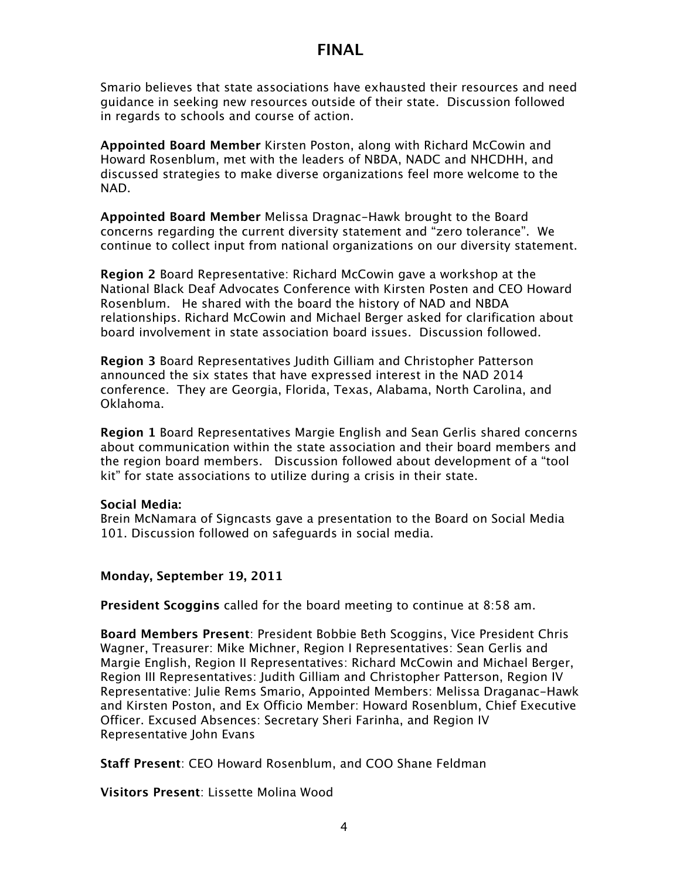Smario believes that state associations have exhausted their resources and need guidance in seeking new resources outside of their state. Discussion followed in regards to schools and course of action.

**Appointed Board Member** Kirsten Poston, along with Richard McCowin and Howard Rosenblum, met with the leaders of NBDA, NADC and NHCDHH, and discussed strategies to make diverse organizations feel more welcome to the NAD.

**Appointed Board Member** Melissa Dragnac-Hawk brought to the Board concerns regarding the current diversity statement and "zero tolerance". We continue to collect input from national organizations on our diversity statement.

**Region 2** Board Representative: Richard McCowin gave a workshop at the National Black Deaf Advocates Conference with Kirsten Posten and CEO Howard Rosenblum. He shared with the board the history of NAD and NBDA relationships. Richard McCowin and Michael Berger asked for clarification about board involvement in state association board issues. Discussion followed.

**Region 3** Board Representatives Judith Gilliam and Christopher Patterson announced the six states that have expressed interest in the NAD 2014 conference. They are Georgia, Florida, Texas, Alabama, North Carolina, and Oklahoma.

**Region 1** Board Representatives Margie English and Sean Gerlis shared concerns about communication within the state association and their board members and the region board members. Discussion followed about development of a "tool kit" for state associations to utilize during a crisis in their state.

#### **Social Media:**

Brein McNamara of Signcasts gave a presentation to the Board on Social Media 101. Discussion followed on safeguards in social media.

### **Monday, September 19, 2011**

**President Scoggins** called for the board meeting to continue at 8:58 am.

**Board Members Present**: President Bobbie Beth Scoggins, Vice President Chris Wagner, Treasurer: Mike Michner, Region I Representatives: Sean Gerlis and Margie English, Region II Representatives: Richard McCowin and Michael Berger, Region III Representatives: Judith Gilliam and Christopher Patterson, Region IV Representative: Julie Rems Smario, Appointed Members: Melissa Draganac-Hawk and Kirsten Poston, and Ex Officio Member: Howard Rosenblum, Chief Executive Officer. Excused Absences: Secretary Sheri Farinha, and Region IV Representative John Evans

**Staff Present**: CEO Howard Rosenblum, and COO Shane Feldman

**Visitors Present**: Lissette Molina Wood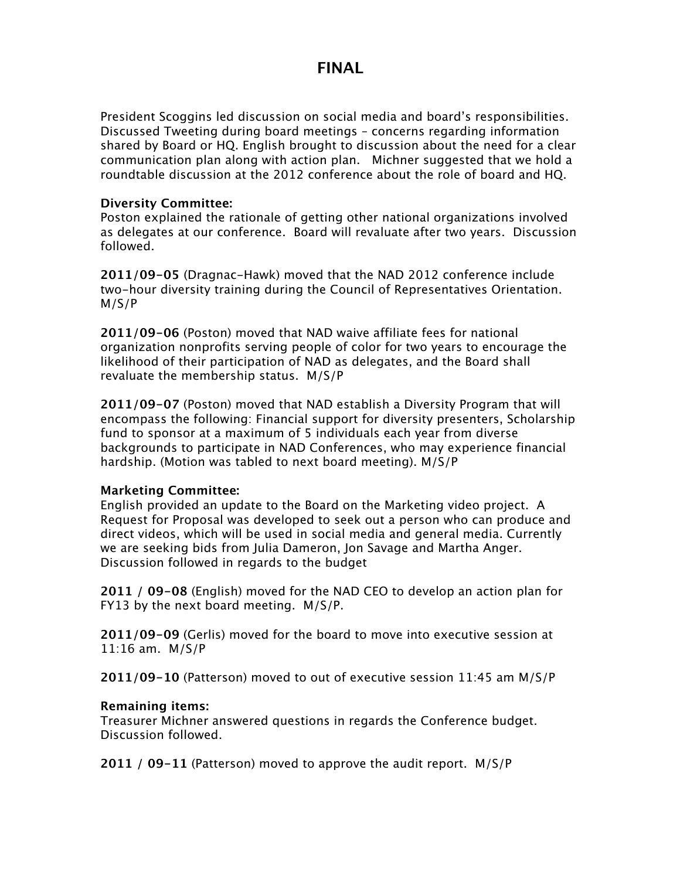President Scoggins led discussion on social media and board's responsibilities. Discussed Tweeting during board meetings – concerns regarding information shared by Board or HQ. English brought to discussion about the need for a clear communication plan along with action plan. Michner suggested that we hold a roundtable discussion at the 2012 conference about the role of board and HQ.

### **Diversity Committee:**

Poston explained the rationale of getting other national organizations involved as delegates at our conference. Board will revaluate after two years. Discussion followed.

**2011/09-05** (Dragnac-Hawk) moved that the NAD 2012 conference include two-hour diversity training during the Council of Representatives Orientation. M/S/P

**2011/09-06** (Poston) moved that NAD waive affiliate fees for national organization nonprofits serving people of color for two years to encourage the likelihood of their participation of NAD as delegates, and the Board shall revaluate the membership status. M/S/P

**2011/09-07** (Poston) moved that NAD establish a Diversity Program that will encompass the following: Financial support for diversity presenters, Scholarship fund to sponsor at a maximum of 5 individuals each year from diverse backgrounds to participate in NAD Conferences, who may experience financial hardship. (Motion was tabled to next board meeting). M/S/P

### **Marketing Committee:**

English provided an update to the Board on the Marketing video project. A Request for Proposal was developed to seek out a person who can produce and direct videos, which will be used in social media and general media. Currently we are seeking bids from Julia Dameron, Jon Savage and Martha Anger. Discussion followed in regards to the budget

**2011 / 09-08** (English) moved for the NAD CEO to develop an action plan for FY13 by the next board meeting. M/S/P.

**2011/09-09** (Gerlis) moved for the board to move into executive session at 11:16 am. M/S/P

**2011/09-10** (Patterson) moved to out of executive session 11:45 am M/S/P

### **Remaining items:**

Treasurer Michner answered questions in regards the Conference budget. Discussion followed.

**2011 / 09-11** (Patterson) moved to approve the audit report. M/S/P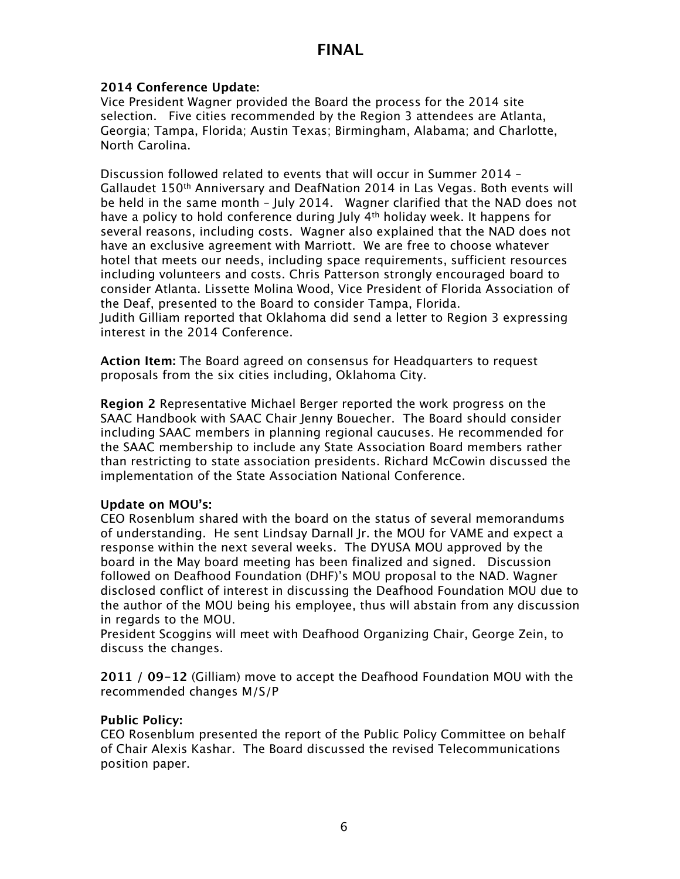### **2014 Conference Update:**

Vice President Wagner provided the Board the process for the 2014 site selection. Five cities recommended by the Region 3 attendees are Atlanta, Georgia; Tampa, Florida; Austin Texas; Birmingham, Alabama; and Charlotte, North Carolina.

Discussion followed related to events that will occur in Summer 2014 – Gallaudet 150th Anniversary and DeafNation 2014 in Las Vegas. Both events will be held in the same month – July 2014. Wagner clarified that the NAD does not have a policy to hold conference during July 4th holiday week. It happens for several reasons, including costs. Wagner also explained that the NAD does not have an exclusive agreement with Marriott. We are free to choose whatever hotel that meets our needs, including space requirements, sufficient resources including volunteers and costs. Chris Patterson strongly encouraged board to consider Atlanta. Lissette Molina Wood, Vice President of Florida Association of the Deaf, presented to the Board to consider Tampa, Florida. Judith Gilliam reported that Oklahoma did send a letter to Region 3 expressing interest in the 2014 Conference.

**Action Item:** The Board agreed on consensus for Headquarters to request proposals from the six cities including, Oklahoma City.

**Region 2** Representative Michael Berger reported the work progress on the SAAC Handbook with SAAC Chair Jenny Bouecher. The Board should consider including SAAC members in planning regional caucuses. He recommended for the SAAC membership to include any State Association Board members rather than restricting to state association presidents. Richard McCowin discussed the implementation of the State Association National Conference.

### **Update on MOU's:**

CEO Rosenblum shared with the board on the status of several memorandums of understanding. He sent Lindsay Darnall Jr. the MOU for VAME and expect a response within the next several weeks. The DYUSA MOU approved by the board in the May board meeting has been finalized and signed. Discussion followed on Deafhood Foundation (DHF)'s MOU proposal to the NAD. Wagner disclosed conflict of interest in discussing the Deafhood Foundation MOU due to the author of the MOU being his employee, thus will abstain from any discussion in regards to the MOU.

President Scoggins will meet with Deafhood Organizing Chair, George Zein, to discuss the changes.

**2011 / 09-12** (Gilliam) move to accept the Deafhood Foundation MOU with the recommended changes M/S/P

### **Public Policy:**

CEO Rosenblum presented the report of the Public Policy Committee on behalf of Chair Alexis Kashar. The Board discussed the revised Telecommunications position paper.